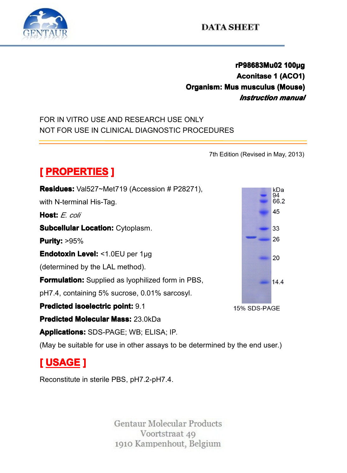

# **rP98683Mu02 P98683Mu02 P98683Mu02 <sup>100</sup> 683Mu02100µg Aconitase 1 (ACO1)**<br> **Aconitase 1 (ACO1)**<br> **Aus musculus (Mouse)**<br> **Instruction manual COLUSE 1 (ACT)**<br>**Columber 1 (ACT)**<br>*Instruction manual*<br>E ONLY<br>PROCEDURES *Instruction Instruction manual*

FOR IN VITRO USE AND RESEARCH USE ONLY NOT FOR USE IN CLINICAL DIAGNOSTIC PROCEDURES<br>
MOT FOR USE IN CLINICAL DIAGNOSTIC PROCEDURES<br>
The Edition of PROPERTIES 1

7th Edition (Revised in May, 2013)<br>28271),<br>28271), **[ PROPERTIES** ]<br>**Residues:** Val527~Me<br>with N-terminal His-Tag<br>**Host:** *E. coli*<br>Subcellular Location: **Residues:** Val527~Met719 (Accession # P28271),<br>with N-terminal His-Tag.<br>**Host:** F coli with N-terminal His-Tag.<br> **Host:** *E. coli*<br> **Subcellular Location:**<br> **Purity:** >95% **Host:** *E. coli*<br>**Subcellular**<br>**Purity:** >95%<br>**Endotoxin L Subcellular Location: Cytoplasm.<br><b>Purity:** >95%<br>**Endotoxin Level:** <1.0EU per 1µq **Purity:**  $>95\%$ **Endotoxin Level:** <1.0EU per 1µg<br>(determined by the LAL method).<br>**Formulation:** Supplied as lyophiliz<br>pH7.4, containing 5% sucrose, 0.0 (determined by the LAL method).<br> **Formulation:** Supplied as lyophi<br>
pH7.4, containing 5% sucrose, 0<br> **Predicted isoelectric point:** 9.1 **Formulation:**Supplied as lyophilized form in PBS,<br>pH7.4, containing 5% sucrose, 0.01% sarcosyl.<br>**Predicted isoelectric point:** 9.1<br>**Predicted Molecular Mass:** 23.0kDa pH7.4, containing 5% sucrose, 0.01% sarcosyl.<br>**Predicted isoelectric point:** 9.1<br>**Predicted Molecular Mass:** 23.0kDa<br>**Applications:** SDS-PAGE; WB; ELISA; IP. **Predicted Predicted isoelectric dicted isoelectric point electric point:** 9.1 **Predicted Molecular Mass:** 23.0kDa<br>**Applications:** SDS-PAGE; WB; ELIS<br>(May be suitable for use in other assa **Applications:** SDS-PAGE; WB; ELISA; IP.<br>(May be suitable for use in other assays to<br>**[USAGE ]**<br>Reconstitute in sterile PBS, pH7.2-pH7.4.

(May be suitable for use in other assays to be determined by the end user.)<br>  $\begin{bmatrix} \text{USAGE} \end{bmatrix}$ 

# **[ USAGE ]**

Reconstitute in sterile PBS, pH7.2-pH7.4.

Voortstraat 49 1910 Kampenhout, Belgium